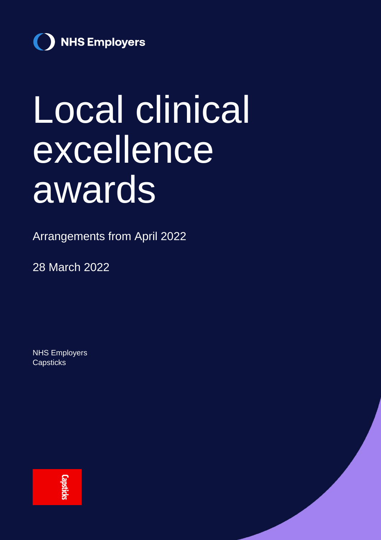

# Local clinical excellence awards

Arrangements from April 2022

28 March 2022

NHS Employers **Capsticks** 

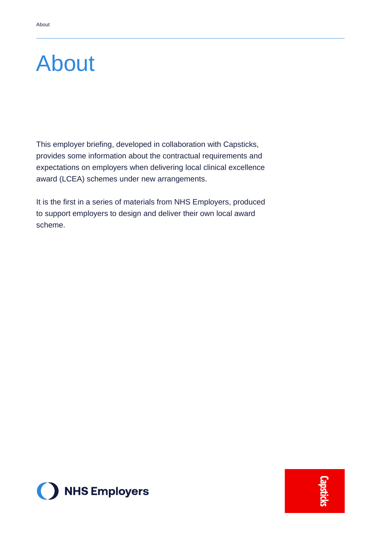### About

This employer briefing, developed in collaboration with Capsticks, provides some information about the contractual requirements and expectations on employers when delivering local clinical excellence award (LCEA) schemes under new arrangements.

It is the first in a series of materials from NHS Employers, produced to support employers to design and deliver their own local award scheme.

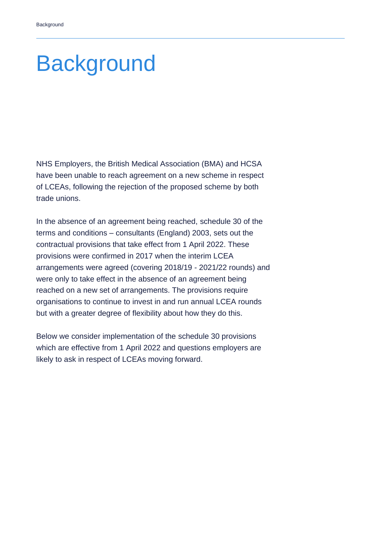### **Background**

NHS Employers, the British Medical Association (BMA) and HCSA have been unable to reach agreement on a new scheme in respect of LCEAs, following the rejection of the proposed scheme by both trade unions.

In the absence of an agreement being reached, schedule 30 of the terms and conditions – consultants (England) 2003, sets out the contractual provisions that take effect from 1 April 2022. These provisions were confirmed in 2017 when the interim LCEA arrangements were agreed (covering 2018/19 - 2021/22 rounds) and were only to take effect in the absence of an agreement being reached on a new set of arrangements. The provisions require organisations to continue to invest in and run annual LCEA rounds but with a greater degree of flexibility about how they do this.

Below we consider implementation of the schedule 30 provisions which are effective from 1 April 2022 and questions employers are likely to ask in respect of LCEAs moving forward.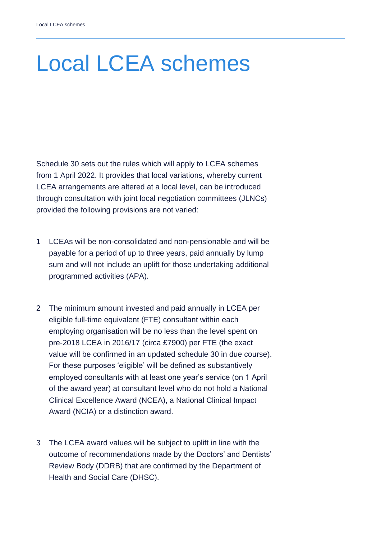## Local LCEA schemes

Schedule 30 sets out the rules which will apply to LCEA schemes from 1 April 2022. It provides that local variations, whereby current LCEA arrangements are altered at a local level, can be introduced through consultation with joint local negotiation committees (JLNCs) provided the following provisions are not varied:

- 1 LCEAs will be non-consolidated and non-pensionable and will be payable for a period of up to three years, paid annually by lump sum and will not include an uplift for those undertaking additional programmed activities (APA).
- 2 The minimum amount invested and paid annually in LCEA per eligible full-time equivalent (FTE) consultant within each employing organisation will be no less than the level spent on pre-2018 LCEA in 2016/17 (circa £7900) per FTE (the exact value will be confirmed in an updated schedule 30 in due course). For these purposes 'eligible' will be defined as substantively employed consultants with at least one year's service (on 1 April of the award year) at consultant level who do not hold a National Clinical Excellence Award (NCEA), a National Clinical Impact Award (NCIA) or a distinction award.
- 3 The LCEA award values will be subject to uplift in line with the outcome of recommendations made by the Doctors' and Dentists' Review Body (DDRB) that are confirmed by the Department of Health and Social Care (DHSC).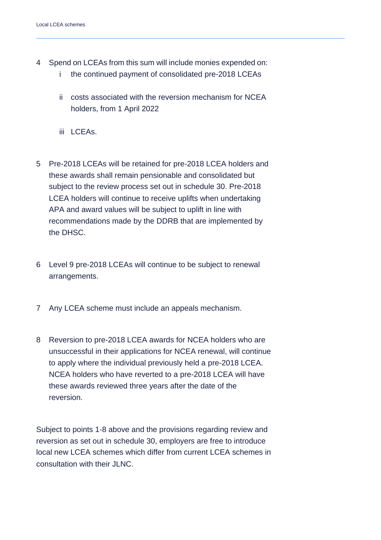- 4 Spend on LCEAs from this sum will include monies expended on:
	- i the continued payment of consolidated pre-2018 LCEAs
	- ii costs associated with the reversion mechanism for NCEA holders, from 1 April 2022
	- iii LCEAs.
- 5 Pre-2018 LCEAs will be retained for pre-2018 LCEA holders and these awards shall remain pensionable and consolidated but subject to the review process set out in schedule 30. Pre-2018 LCEA holders will continue to receive uplifts when undertaking APA and award values will be subject to uplift in line with recommendations made by the DDRB that are implemented by the DHSC.
- 6 Level 9 pre-2018 LCEAs will continue to be subject to renewal arrangements.
- 7 Any LCEA scheme must include an appeals mechanism.
- 8 Reversion to pre-2018 LCEA awards for NCEA holders who are unsuccessful in their applications for NCEA renewal, will continue to apply where the individual previously held a pre-2018 LCEA. NCEA holders who have reverted to a pre-2018 LCEA will have these awards reviewed three years after the date of the reversion.

Subject to points 1-8 above and the provisions regarding review and reversion as set out in schedule 30, employers are free to introduce local new LCEA schemes which differ from current LCEA schemes in consultation with their JLNC.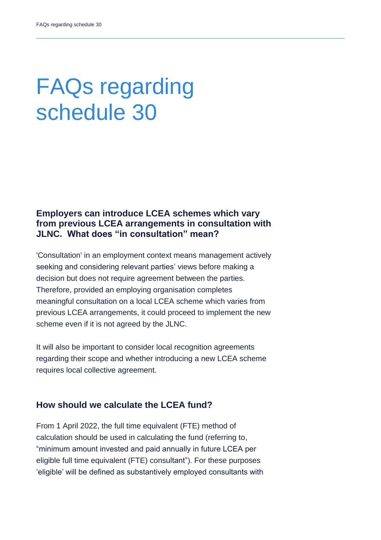### FAQs regarding schedule 30

#### **Employers can introduce LCEA schemes which vary from previous LCEA arrangements in consultation with JLNC. What does "in consultation" mean?**

'Consultation' in an employment context means management actively seeking and considering relevant parties' views before making a decision but does not require agreement between the parties. Therefore, provided an employing organisation completes meaningful consultation on a local LCEA scheme which varies from previous LCEA arrangements, it could proceed to implement the new scheme even if it is not agreed by the JLNC.

It will also be important to consider local recognition agreements regarding their scope and whether introducing a new LCEA scheme requires local collective agreement.

#### **How should we calculate the LCEA fund?**

From 1 April 2022, the full time equivalent (FTE) method of calculation should be used in calculating the fund (referring to, "minimum amount invested and paid annually in future LCEA per eligible full time equivalent (FTE) consultant"). For these purposes 'eligible' will be defined as substantively employed consultants with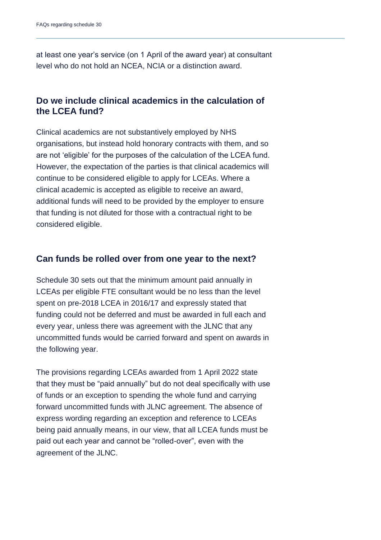at least one year's service (on 1 April of the award year) at consultant level who do not hold an NCEA, NCIA or a distinction award.

#### **Do we include clinical academics in the calculation of the LCEA fund?**

Clinical academics are not substantively employed by NHS organisations, but instead hold honorary contracts with them, and so are not 'eligible' for the purposes of the calculation of the LCEA fund. However, the expectation of the parties is that clinical academics will continue to be considered eligible to apply for LCEAs. Where a clinical academic is accepted as eligible to receive an award, additional funds will need to be provided by the employer to ensure that funding is not diluted for those with a contractual right to be considered eligible.

#### **Can funds be rolled over from one year to the next?**

Schedule 30 sets out that the minimum amount paid annually in LCEAs per eligible FTE consultant would be no less than the level spent on pre-2018 LCEA in 2016/17 and expressly stated that funding could not be deferred and must be awarded in full each and every year, unless there was agreement with the JLNC that any uncommitted funds would be carried forward and spent on awards in the following year.

The provisions regarding LCEAs awarded from 1 April 2022 state that they must be "paid annually" but do not deal specifically with use of funds or an exception to spending the whole fund and carrying forward uncommitted funds with JLNC agreement. The absence of express wording regarding an exception and reference to LCEAs being paid annually means, in our view, that all LCEA funds must be paid out each year and cannot be "rolled-over", even with the agreement of the JLNC.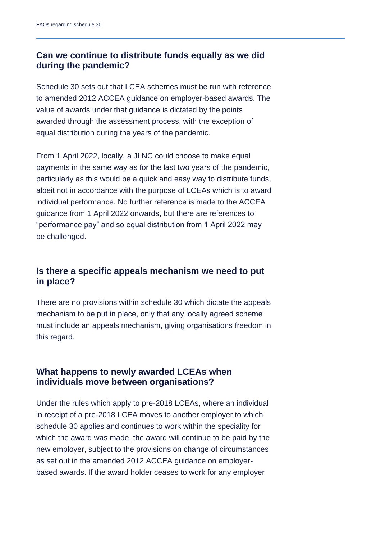### **Can we continue to distribute funds equally as we did during the pandemic?**

Schedule 30 sets out that LCEA schemes must be run with reference to amended 2012 ACCEA guidance on employer-based awards. The value of awards under that guidance is dictated by the points awarded through the assessment process, with the exception of equal distribution during the years of the pandemic.

From 1 April 2022, locally, a JLNC could choose to make equal payments in the same way as for the last two years of the pandemic, particularly as this would be a quick and easy way to distribute funds, albeit not in accordance with the purpose of LCEAs which is to award individual performance. No further reference is made to the ACCEA guidance from 1 April 2022 onwards, but there are references to "performance pay" and so equal distribution from 1 April 2022 may be challenged.

#### **Is there a specific appeals mechanism we need to put in place?**

There are no provisions within schedule 30 which dictate the appeals mechanism to be put in place, only that any locally agreed scheme must include an appeals mechanism, giving organisations freedom in this regard.

#### **What happens to newly awarded LCEAs when individuals move between organisations?**

Under the rules which apply to pre-2018 LCEAs, where an individual in receipt of a pre-2018 LCEA moves to another employer to which schedule 30 applies and continues to work within the speciality for which the award was made, the award will continue to be paid by the new employer, subject to the provisions on change of circumstances as set out in the amended 2012 ACCEA guidance on employerbased awards. If the award holder ceases to work for any employer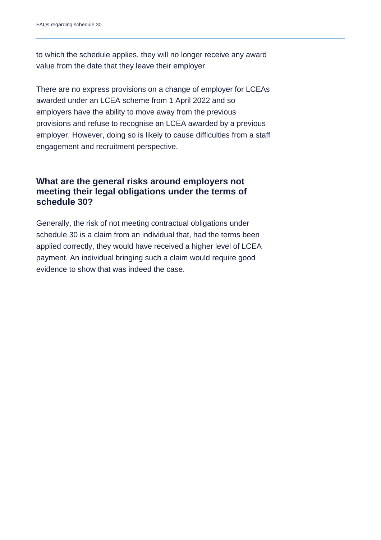to which the schedule applies, they will no longer receive any award value from the date that they leave their employer.

There are no express provisions on a change of employer for LCEAs awarded under an LCEA scheme from 1 April 2022 and so employers have the ability to move away from the previous provisions and refuse to recognise an LCEA awarded by a previous employer. However, doing so is likely to cause difficulties from a staff engagement and recruitment perspective.

#### **What are the general risks around employers not meeting their legal obligations under the terms of schedule 30?**

Generally, the risk of not meeting contractual obligations under schedule 30 is a claim from an individual that, had the terms been applied correctly, they would have received a higher level of LCEA payment. An individual bringing such a claim would require good evidence to show that was indeed the case.